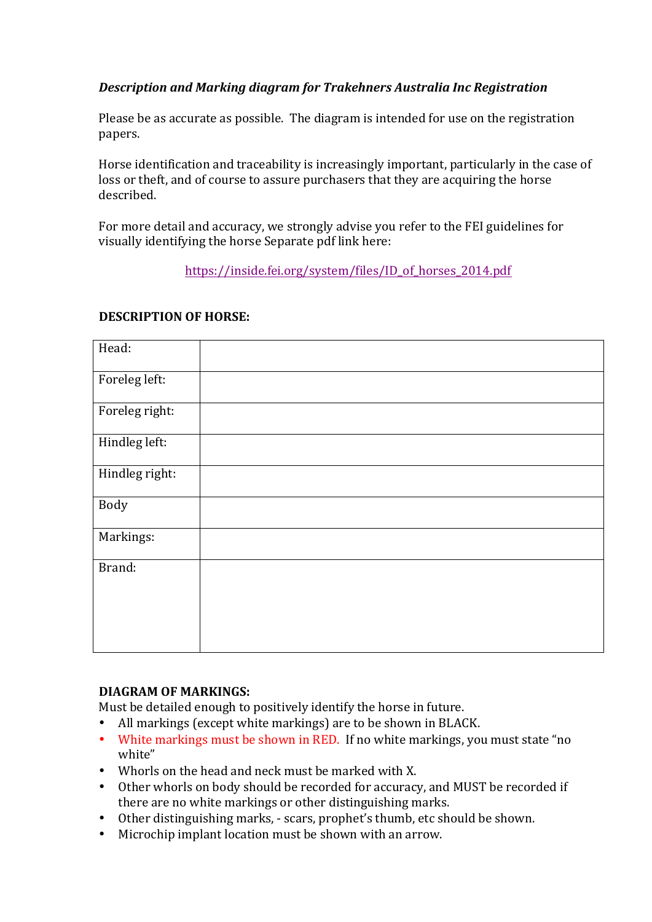## **Description and Marking diagram for Trakehners Australia Inc Registration**

Please be as accurate as possible. The diagram is intended for use on the registration papers. 

Horse identification and traceability is increasingly important, particularly in the case of loss or theft, and of course to assure purchasers that they are acquiring the horse described. 

For more detail and accuracy, we strongly advise you refer to the FEI guidelines for visually identifying the horse Separate pdf link here:

https://inside.fei.org/system/files/ID\_of\_horses\_2014.pdf

## **DESCRIPTION OF HORSE:**

| Head:          |  |
|----------------|--|
| Foreleg left:  |  |
| Foreleg right: |  |
| Hindleg left:  |  |
| Hindleg right: |  |
| Body           |  |
| Markings:      |  |
| Brand:         |  |
|                |  |
|                |  |

## **DIAGRAM OF MARKINGS:**

Must be detailed enough to positively identify the horse in future.

- All markings (except white markings) are to be shown in BLACK.
- White markings must be shown in RED. If no white markings, you must state "no white"
- Whorls on the head and neck must be marked with X.
- Other whorls on body should be recorded for accuracy, and MUST be recorded if there are no white markings or other distinguishing marks.
- Other distinguishing marks, scars, prophet's thumb, etc should be shown.
- Microchip implant location must be shown with an arrow.